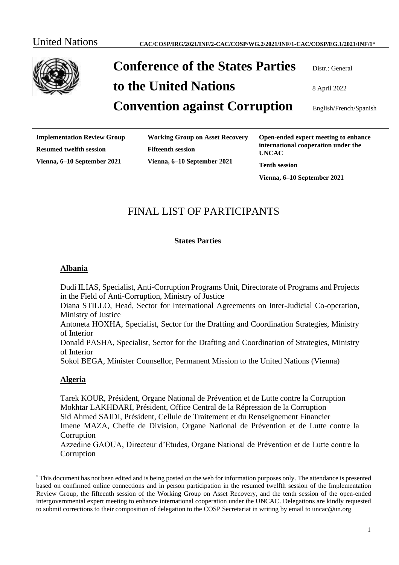

# **Conference of the States Parties** Distr.: General

**to the United Nations**  $8 \text{ April } 2022$ 

# **Convention against Corruption** English/French/Spanish

**Implementation Review Group Resumed twelfth session Vienna, 6–10 September 2021**

**Working Group on Asset Recovery Fifteenth session Vienna, 6–10 September 2021**

**Open-ended expert meeting to enhance international cooperation under the UNCAC**

**Tenth session**

**Vienna, 6–10 September 2021**

# FINAL LIST OF PARTICIPANTS

#### **States Parties**

#### **Albania**

Dudi ILIAS, Specialist, Anti-Corruption Programs Unit, Directorate of Programs and Projects in the Field of Anti-Corruption, Ministry of Justice

Diana STILLO, Head, Sector for International Agreements on Inter-Judicial Co-operation, Ministry of Justice

Antoneta HOXHA, Specialist, Sector for the Drafting and Coordination Strategies, Ministry of Interior

Donald PASHA, Specialist, Sector for the Drafting and Coordination of Strategies, Ministry of Interior

Sokol BEGA, Minister Counsellor, Permanent Mission to the United Nations (Vienna)

#### **Algeria**

Tarek KOUR, Président, Organe National de Prévention et de Lutte contre la Corruption Mokhtar LAKHDARI, Président, Office Central de la Répression de la Corruption Sid Ahmed SAIDI, Président, Cellule de Traitement et du Renseignement Financier Imene MAZA, Cheffe de Division, Organe National de Prévention et de Lutte contre la **Corruption** 

Azzedine GAOUA, Directeur d'Etudes, Organe National de Prévention et de Lutte contre la Corruption

<sup>\*</sup> This document has not been edited and is being posted on the web for information purposes only. The attendance is presented based on confirmed online connections and in person participation in the resumed twelfth session of the Implementation Review Group, the fifteenth session of the Working Group on Asset Recovery, and the tenth session of the open-ended intergovernmental expert meeting to enhance international cooperation under the UNCAC. Delegations are kindly requested to submit corrections to their composition of delegation to the COSP Secretariat in writing by email to uncac@un.org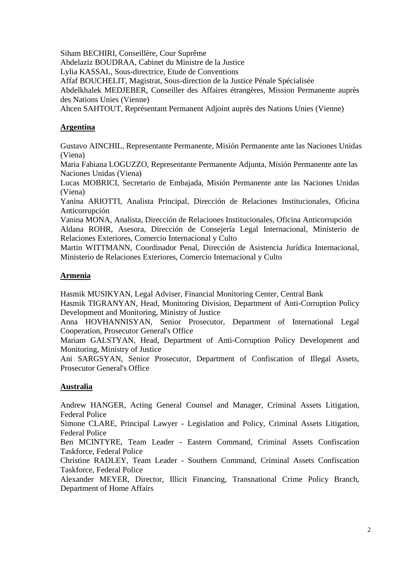Siham BECHIRI, Conseillère, Cour Suprême

Abdelaziz BOUDRAA, Cabinet du Ministre de la Justice

Lylia KASSAL, Sous-directrice, Etude de Conventions

Affaf BOUCHELIT, Magistrat, Sous-direction de la Justice Pénale Spécialisée

Abdelkhalek MEDJEBER, Conseiller des Affaires étrangères, Mission Permanente auprès des Nations Unies (Vienne)

Ahcen SAHTOUT, Représentant Permanent Adjoint auprès des Nations Unies (Vienne)

## **Argentina**

Gustavo AINCHIL, Representante Permanente, Misión Permanente ante las Naciones Unidas (Viena)

Maria Fabiana LOGUZZO, Representante Permanente Adjunta, Misión Permanente ante las Naciones Unidas (Viena)

Lucas MOBRICI, Secretario de Embajada, Misión Permanente ante las Naciones Unidas (Viena)

Yanina ARIOTTI, Analista Principal, Dirección de Relaciones Institucionales, Oficina Anticorrupción

Vanina MONA, Analista, Dirección de Relaciones Institucionales, Oficina Anticorrupción Aldana ROHR, Asesora, Dirección de Consejería Legal Internacional, Ministerio de Relaciones Exteriores, Comercio Internacional y Culto

Martin WITTMANN, Coordinador Penal, Dirección de Asistencia Jurídica Internacional, Ministerio de Relaciones Exteriores, Comercio Internacional y Culto

## **Armenia**

Hasmik MUSIKYAN, Legal Adviser, Financial Monitoring Center, Central Bank

Hasmik TIGRANYAN, Head, Monitoring Division, Department of Anti-Corruption Policy Development and Monitoring, Ministry of Justice

Anna HOVHANNISYAN, Senior Prosecutor, Department of International Legal Cooperation, Prosecutor General's Office

Mariam GALSTYAN, Head, Department of Anti-Corruption Policy Development and Monitoring, Ministry of Justice

Ani SARGSYAN, Senior Prosecutor, Department of Confiscation of Illegal Assets, Prosecutor General's Office

# **Australia**

Andrew HANGER, Acting General Counsel and Manager, Criminal Assets Litigation, Federal Police

Simone CLARE, Principal Lawyer - Legislation and Policy, Criminal Assets Litigation, Federal Police

Ben MCINTYRE, Team Leader - Eastern Command, Criminal Assets Confiscation Taskforce, Federal Police

Christine RADLEY, Team Leader - Southern Command, Criminal Assets Confiscation Taskforce, Federal Police

Alexander MEYER, Director, Illicit Financing, Transnational Crime Policy Branch, Department of Home Affairs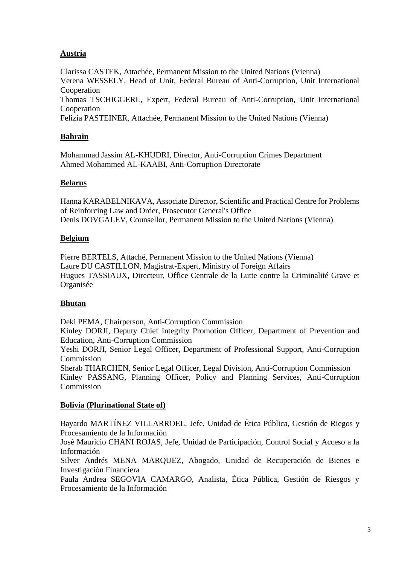## **Austria**

Clarissa CASTEK, Attachée, Permanent Mission to the United Nations (Vienna) Verena WESSELY, Head of Unit, Federal Bureau of Anti-Corruption, Unit International Cooperation Thomas TSCHIGGERL, Expert, Federal Bureau of Anti-Corruption, Unit International Cooperation Felizia PASTEINER, Attachée, Permanent Mission to the United Nations (Vienna)

#### **Bahrain**

Mohammad Jassim AL-KHUDRI, Director, Anti-Corruption Crimes Department Ahmed Mohammed AL-KAABI, Anti-Corruption Directorate

#### **Belarus**

Hanna KARABELNIKAVA, Associate Director, Scientific and Practical Centre for Problems of Reinforcing Law and Order, Prosecutor General's Office Denis DOVGALEV, Counsellor, Permanent Mission to the United Nations (Vienna)

#### **Belgium**

Pierre BERTELS, Attaché, Permanent Mission to the United Nations (Vienna) Laure DU CASTILLON, Magistrat-Expert, Ministry of Foreign Affairs Hugues TASSIAUX, Directeur, Office Centrale de la Lutte contre la Criminalité Grave et Organisée

#### **Bhutan**

Deki PEMA, Chairperson, Anti-Corruption Commission

Kinley DORJI, Deputy Chief Integrity Promotion Officer, Department of Prevention and Education, Anti-Corruption Commission

Yeshi DORJI, Senior Legal Officer, Department of Professional Support, Anti-Corruption Commission

Sherab THARCHEN, Senior Legal Officer, Legal Division, Anti-Corruption Commission Kinley PASSANG, Planning Officer, Policy and Planning Services, Anti-Corruption Commission

#### **Bolivia (Plurinational State of)**

Bayardo MARTÍNEZ VILLARROEL, Jefe, Unidad de Ética Pública, Gestión de Riegos y Procesamiento de la Información

José Mauricio CHANI ROJAS, Jefe, Unidad de Participación, Control Social y Acceso a la Información

Silver Andrés MENA MARQUEZ, Abogado, Unidad de Recuperación de Bienes e Investigación Financiera

Paula Andrea SEGOVIA CAMARGO, Analista, Ética Pública, Gestión de Riesgos y Procesamiento de la Información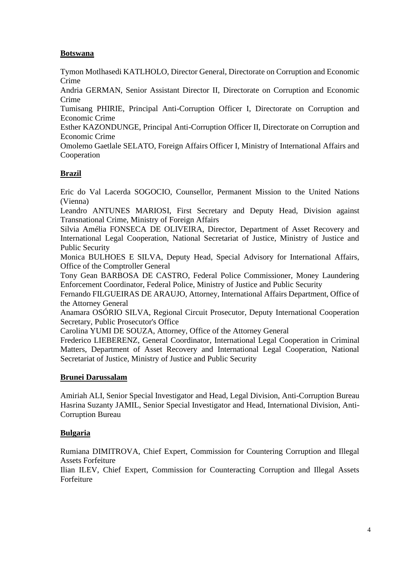## **Botswana**

Tymon Motlhasedi KATLHOLO, Director General, Directorate on Corruption and Economic Crime

Andria GERMAN, Senior Assistant Director II, Directorate on Corruption and Economic Crime

Tumisang PHIRIE, Principal Anti-Corruption Officer I, Directorate on Corruption and Economic Crime

Esther KAZONDUNGE, Principal Anti-Corruption Officer II, Directorate on Corruption and Economic Crime

Omolemo Gaetlale SELATO, Foreign Affairs Officer I, Ministry of International Affairs and Cooperation

#### **Brazil**

Eric do Val Lacerda SOGOCIO, Counsellor, Permanent Mission to the United Nations (Vienna)

Leandro ANTUNES MARIOSI, First Secretary and Deputy Head, Division against Transnational Crime, Ministry of Foreign Affairs

Silvia Amélia FONSECA DE OLIVEIRA, Director, Department of Asset Recovery and International Legal Cooperation, National Secretariat of Justice, Ministry of Justice and Public Security

Monica BULHOES E SILVA, Deputy Head, Special Advisory for International Affairs, Office of the Comptroller General

Tony Gean BARBOSA DE CASTRO, Federal Police Commissioner, Money Laundering Enforcement Coordinator, Federal Police, Ministry of Justice and Public Security

Fernando FILGUEIRAS DE ARAUJO, Attorney, International Affairs Department, Office of the Attorney General

Anamara OSÓRIO SILVA, Regional Circuit Prosecutor, Deputy International Cooperation Secretary, Public Prosecutor's Office

Carolina YUMI DE SOUZA, Attorney, Office of the Attorney General

Frederico LIEBERENZ, General Coordinator, International Legal Cooperation in Criminal Matters, Department of Asset Recovery and International Legal Cooperation, National Secretariat of Justice, Ministry of Justice and Public Security

#### **Brunei Darussalam**

Amiriah ALI, Senior Special Investigator and Head, Legal Division, Anti-Corruption Bureau Hasrina Suzanty JAMIL, Senior Special Investigator and Head, International Division, Anti-Corruption Bureau

#### **Bulgaria**

Rumiana DIMITROVA, Chief Expert, Commission for Countering Corruption and Illegal Assets Forfeiture

Ilian ILEV, Chief Expert, Commission for Counteracting Corruption and Illegal Assets Forfeiture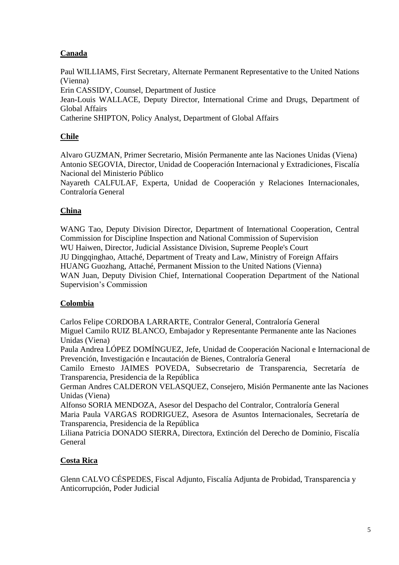# **Canada**

Paul WILLIAMS, First Secretary, Alternate Permanent Representative to the United Nations (Vienna)

Erin CASSIDY, Counsel, Department of Justice

Jean-Louis WALLACE, Deputy Director, International Crime and Drugs, Department of Global Affairs

Catherine SHIPTON, Policy Analyst, Department of Global Affairs

# **Chile**

Alvaro GUZMAN, Primer Secretario, Misión Permanente ante las Naciones Unidas (Viena) Antonio SEGOVIA, Director, Unidad de Cooperación Internacional y Extradiciones, Fiscalía Nacional del Ministerio Público

Nayareth CALFULAF, Experta, Unidad de Cooperación y Relaciones Internacionales, Contraloría General

# **China**

WANG Tao, Deputy Division Director, Department of International Cooperation, Central Commission for Discipline Inspection and National Commission of Supervision WU Haiwen, Director, Judicial Assistance Division, Supreme People's Court JU Dingqinghao, Attaché, Department of Treaty and Law, Ministry of Foreign Affairs HUANG Guozhang, Attaché, Permanent Mission to the United Nations (Vienna) WAN Juan, Deputy Division Chief, International Cooperation Department of the National Supervision's Commission

# **Colombia**

Carlos Felipe CORDOBA LARRARTE, Contralor General, Contraloría General Miguel Camilo RUIZ BLANCO, Embajador y Representante Permanente ante las Naciones Unidas (Viena)

Paula Andrea LÓPEZ DOMÍNGUEZ, Jefe, Unidad de Cooperación Nacional e Internacional de Prevención, Investigación e Incautación de Bienes, Contraloría General

Camilo Ernesto JAIMES POVEDA, Subsecretario de Transparencia, Secretaría de Transparencia, Presidencia de la República

German Andres CALDERON VELASQUEZ, Consejero, Misión Permanente ante las Naciones Unidas (Viena)

Alfonso SORIA MENDOZA, Asesor del Despacho del Contralor, Contraloría General Maria Paula VARGAS RODRIGUEZ, Asesora de Asuntos Internacionales, Secretaría de Transparencia, Presidencia de la República

Liliana Patricia DONADO SIERRA, Directora, Extinción del Derecho de Dominio, Fiscalía General

# **Costa Rica**

Glenn CALVO CÉSPEDES, Fiscal Adjunto, Fiscalía Adjunta de Probidad, Transparencia y Anticorrupción, Poder Judicial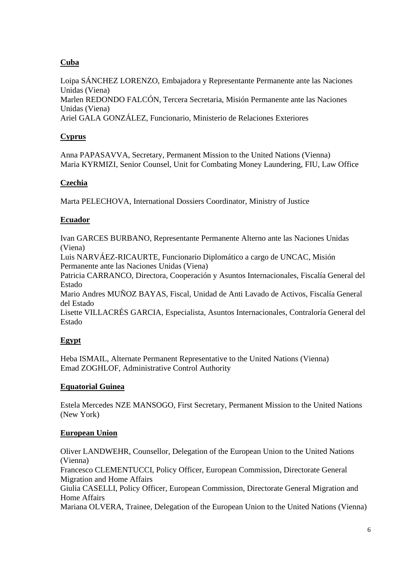# **Cuba**

Loipa SÁNCHEZ LORENZO, Embajadora y Representante Permanente ante las Naciones Unidas (Viena) Marlen REDONDO FALCÓN, Tercera Secretaria, Misión Permanente ante las Naciones Unidas (Viena) Ariel GALA GONZÁLEZ, Funcionario, Ministerio de Relaciones Exteriores

## **Cyprus**

Anna PAPASAVVA, Secretary, Permanent Mission to the United Nations (Vienna) Maria KYRMIZI, Senior Counsel, Unit for Combating Money Laundering, FIU, Law Office

#### **Czechia**

Marta PELECHOVA, International Dossiers Coordinator, Ministry of Justice

## **Ecuador**

Ivan GARCES BURBANO, Representante Permanente Alterno ante las Naciones Unidas (Viena)

Luis NARVÁEZ-RICAURTE, Funcionario Diplomático a cargo de UNCAC, Misión Permanente ante las Naciones Unidas (Viena)

Patricia CARRANCO, Directora, Cooperación y Asuntos Internacionales, Fiscalía General del Estado

Mario Andres MUÑOZ BAYAS, Fiscal, Unidad de Anti Lavado de Activos, Fiscalía General del Estado

Lisette VILLACRÉS GARCIA, Especialista, Asuntos Internacionales, Contraloría General del Estado

# **Egypt**

Heba ISMAIL, Alternate Permanent Representative to the United Nations (Vienna) Emad ZOGHLOF, Administrative Control Authority

# **Equatorial Guinea**

Estela Mercedes NZE MANSOGO, First Secretary, Permanent Mission to the United Nations (New York)

# **European Union**

Oliver LANDWEHR, Counsellor, Delegation of the European Union to the United Nations (Vienna) Francesco CLEMENTUCCI, Policy Officer, European Commission, Directorate General Migration and Home Affairs Giulia CASELLI, Policy Officer, European Commission, Directorate General Migration and Home Affairs Mariana OLVERA, Trainee, Delegation of the European Union to the United Nations (Vienna)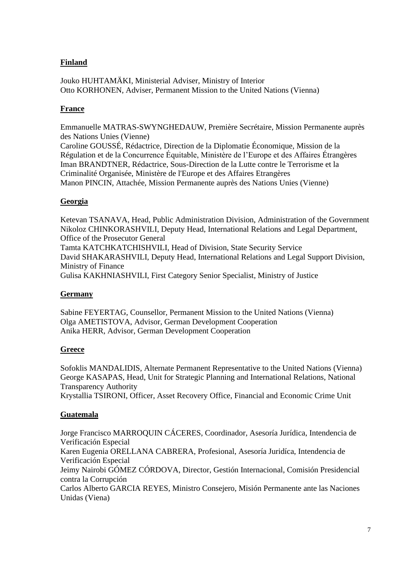## **Finland**

Jouko HUHTAMÄKI, Ministerial Adviser, Ministry of Interior Otto KORHONEN, Adviser, Permanent Mission to the United Nations (Vienna)

#### **France**

Emmanuelle MATRAS-SWYNGHEDAUW, Première Secrétaire, Mission Permanente auprès des Nations Unies (Vienne) Caroline GOUSSÉ, Rédactrice, Direction de la Diplomatie Économique, Mission de la

Régulation et de la Concurrence Équitable, Ministère de l'Europe et des Affaires Étrangères Iman BRANDTNER, Rédactrice, Sous-Direction de la Lutte contre le Terrorisme et la Criminalité Organisée, Ministère de l'Europe et des Affaires Etrangères Manon PINCIN, Attachée, Mission Permanente auprès des Nations Unies (Vienne)

#### **Georgia**

Ketevan TSANAVA, Head, Public Administration Division, Administration of the Government Nikoloz CHINKORASHVILI, Deputy Head, International Relations and Legal Department, Office of the Prosecutor General Tamta KATCHKATCHISHVILI, Head of Division, State Security Service

David SHAKARASHVILI, Deputy Head, International Relations and Legal Support Division, Ministry of Finance

Gulisa KAKHNIASHVILI, First Category Senior Specialist, Ministry of Justice

#### **Germany**

Sabine FEYERTAG, Counsellor, Permanent Mission to the United Nations (Vienna) Olga AMETISTOVA, Advisor, German Development Cooperation Anika HERR, Advisor, German Development Cooperation

#### **Greece**

Sofoklis MANDALIDIS, Alternate Permanent Representative to the United Nations (Vienna) George KASAPAS, Head, Unit for Strategic Planning and International Relations, National Transparency Authority

Krystallia TSIRONI, Officer, Asset Recovery Office, Financial and Economic Crime Unit

# **Guatemala**

Jorge Francisco MARROQUIN CÁCERES, Coordinador, Asesoría Jurídica, Intendencia de Verificación Especial Karen Eugenia ORELLANA CABRERA, Profesional, Asesoría Juridíca, Intendencia de Verificación Especial Jeimy Nairobi GÓMEZ CÓRDOVA, Director, Gestión Internacional, Comisión Presidencial contra la Corrupción Carlos Alberto GARCIA REYES, Ministro Consejero, Misión Permanente ante las Naciones Unidas (Viena)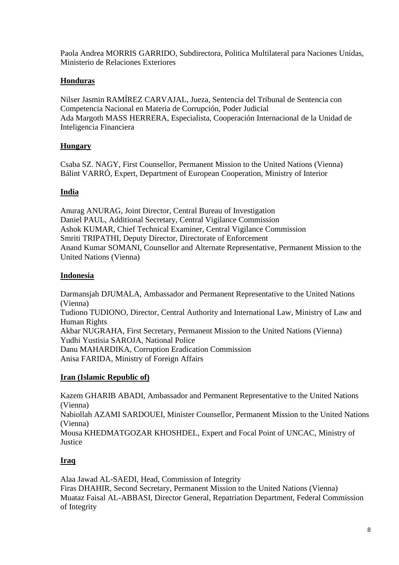Paola Andrea MORRIS GARRIDO, Subdirectora, Politica Multilateral para Naciones Unidas, Ministerio de Relaciones Exteriores

#### **Honduras**

Nilser Jasmin RAMÍREZ CARVAJAL, Jueza, Sentencia del Tribunal de Sentencia con Competencia Nacional en Materia de Corrupción, Poder Judicial Ada Margoth MASS HERRERA, Especialista, Cooperación Internacional de la Unidad de Inteligencia Financiera

## **Hungary**

Csaba SZ. NAGY, First Counsellor, Permanent Mission to the United Nations (Vienna) Bálint VARRÓ, Expert, Department of European Cooperation, Ministry of Interior

## **India**

Anurag ANURAG, Joint Director, Central Bureau of Investigation Daniel PAUL, Additional Secretary, Central Vigilance Commission Ashok KUMAR, Chief Technical Examiner, Central Vigilance Commission Smriti TRIPATHI, Deputy Director, Directorate of Enforcement Anand Kumar SOMANI, Counsellor and Alternate Representative, Permanent Mission to the United Nations (Vienna)

## **Indonesia**

Darmansjah DJUMALA, Ambassador and Permanent Representative to the United Nations (Vienna) Tudiono TUDIONO, Director, Central Authority and International Law, Ministry of Law and Human Rights Akbar NUGRAHA, First Secretary, Permanent Mission to the United Nations (Vienna) Yudhi Yustisia SAROJA, National Police Danu MAHARDIKA, Corruption Eradication Commission Anisa FARIDA, Ministry of Foreign Affairs

#### **Iran (Islamic Republic of)**

Kazem GHARIB ABADI, Ambassador and Permanent Representative to the United Nations (Vienna) Nabiollah AZAMI SARDOUEI, Minister Counsellor, Permanent Mission to the United Nations (Vienna) Mousa KHEDMATGOZAR KHOSHDEL, Expert and Focal Point of UNCAC, Ministry of Justice

# **Iraq**

Alaa Jawad AL-SAEDI, Head, Commission of Integrity Firas DHAHIR, Second Secretary, Permanent Mission to the United Nations (Vienna) Muataz Faisal AL-ABBASI, Director General, Repatriation Department, Federal Commission of Integrity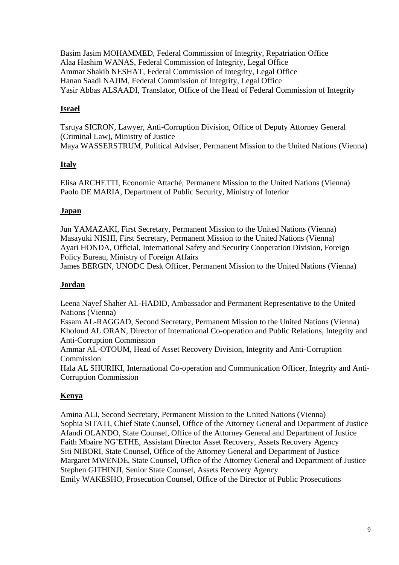Basim Jasim MOHAMMED, Federal Commission of Integrity, Repatriation Office Alaa Hashim WANAS, Federal Commission of Integrity, Legal Office Ammar Shakib NESHAT, Federal Commission of Integrity, Legal Office Hanan Saadi NAJIM, Federal Commission of Integrity, Legal Office Yasir Abbas ALSAADI, Translator, Office of the Head of Federal Commission of Integrity

## **Israel**

Tsruya SICRON, Lawyer, Anti-Corruption Division, Office of Deputy Attorney General (Criminal Law), Ministry of Justice Maya WASSERSTRUM, Political Adviser, Permanent Mission to the United Nations (Vienna)

## **Italy**

Elisa ARCHETTI, Economic Attaché, Permanent Mission to the United Nations (Vienna) Paolo DE MARIA, Department of Public Security, Ministry of Interior

## **Japan**

Jun YAMAZAKI, First Secretary, Permanent Mission to the United Nations (Vienna) Masayuki NISHI, First Secretary, Permanent Mission to the United Nations (Vienna) Ayari HONDA, Official, International Safety and Security Cooperation Division, Foreign Policy Bureau, Ministry of Foreign Affairs

James BERGIN, UNODC Desk Officer, Permanent Mission to the United Nations (Vienna)

#### **Jordan**

Leena Nayef Shaher AL-HADID, Ambassador and Permanent Representative to the United Nations (Vienna)

Essam AL-RAGGAD, Second Secretary, Permanent Mission to the United Nations (Vienna) Kholoud AL ORAN, Director of International Co-operation and Public Relations, Integrity and Anti-Corruption Commission

Ammar AL-OTOUM, Head of Asset Recovery Division, Integrity and Anti-Corruption Commission

Hala AL SHURIKI, International Co-operation and Communication Officer, Integrity and Anti-Corruption Commission

# **Kenya**

Amina ALI, Second Secretary, Permanent Mission to the United Nations (Vienna) Sophia SITATI, Chief State Counsel, Office of the Attorney General and Department of Justice Afandi OLANDO, State Counsel, Office of the Attorney General and Department of Justice Faith Mbaire NG'ETHE, Assistant Director Asset Recovery, Assets Recovery Agency Siti NIBORI, State Counsel, Office of the Attorney General and Department of Justice Margaret MWENDE, State Counsel, Office of the Attorney General and Department of Justice Stephen GITHINJI, Senior State Counsel, Assets Recovery Agency Emily WAKESHO, Prosecution Counsel, Office of the Director of Public Prosecutions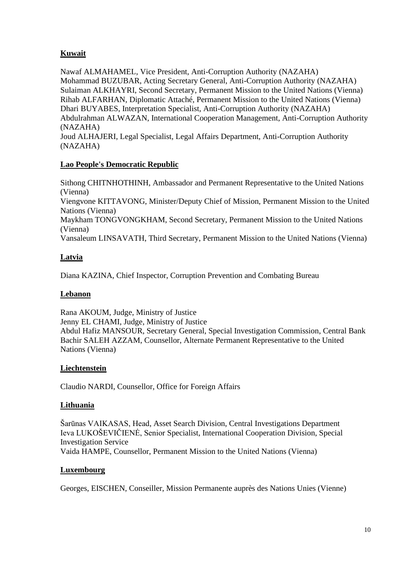# **Kuwait**

Nawaf ALMAHAMEL, Vice President, Anti-Corruption Authority (NAZAHA) Mohammad BUZUBAR, Acting Secretary General, Anti-Corruption Authority (NAZAHA) Sulaiman ALKHAYRI, Second Secretary, Permanent Mission to the United Nations (Vienna) Rihab ALFARHAN, Diplomatic Attaché, Permanent Mission to the United Nations (Vienna) Dhari BUYABES, Interpretation Specialist, Anti-Corruption Authority (NAZAHA) Abdulrahman ALWAZAN, International Cooperation Management, Anti-Corruption Authority (NAZAHA)

Joud ALHAJERI, Legal Specialist, Legal Affairs Department, Anti-Corruption Authority (NAZAHA)

## **Lao People's Democratic Republic**

Sithong CHITNHOTHINH, Ambassador and Permanent Representative to the United Nations (Vienna) Viengvone KITTAVONG, Minister/Deputy Chief of Mission, Permanent Mission to the United Nations (Vienna) Maykham TONGVONGKHAM, Second Secretary, Permanent Mission to the United Nations (Vienna) Vansaleum LINSAVATH, Third Secretary, Permanent Mission to the United Nations (Vienna)

# **Latvia**

Diana KAZINA, Chief Inspector, Corruption Prevention and Combating Bureau

# **Lebanon**

Rana AKOUM, Judge, Ministry of Justice Jenny EL CHAMI, Judge, Ministry of Justice Abdul Hafiz MANSOUR, Secretary General, Special Investigation Commission, Central Bank Bachir SALEH AZZAM, Counsellor, Alternate Permanent Representative to the United Nations (Vienna)

# **Liechtenstein**

Claudio NARDI, Counsellor, Office for Foreign Affairs

# **Lithuania**

Šarūnas VAIKASAS, Head, Asset Search Division, Central Investigations Department Ieva LUKOŠEVIČIENĖ, Senior Specialist, International Cooperation Division, Special Investigation Service Vaida HAMPE, Counsellor, Permanent Mission to the United Nations (Vienna)

#### **Luxembourg**

Georges, EISCHEN, Conseiller, Mission Permanente auprès des Nations Unies (Vienne)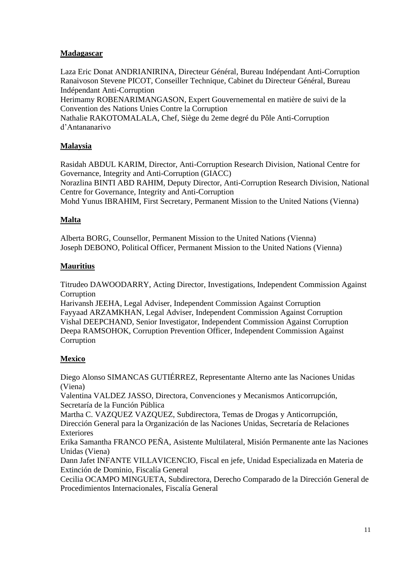## **Madagascar**

Laza Eric Donat ANDRIANIRINA, Directeur Général, Bureau Indépendant Anti-Corruption Ranaivoson Stevene PICOT, Conseiller Technique, Cabinet du Directeur Général, Bureau Indépendant Anti-Corruption

Herimamy ROBENARIMANGASON, Expert Gouvernemental en matière de suivi de la Convention des Nations Unies Contre la Corruption

Nathalie RAKOTOMALALA, Chef, Siège du 2eme degré du Pôle Anti-Corruption d'Antananarivo

## **Malaysia**

Rasidah ABDUL KARIM, Director, Anti-Corruption Research Division, National Centre for Governance, Integrity and Anti-Corruption (GIACC)

Norazlina BINTI ABD RAHIM, Deputy Director, Anti-Corruption Research Division, National Centre for Governance, Integrity and Anti-Corruption

Mohd Yunus IBRAHIM, First Secretary, Permanent Mission to the United Nations (Vienna)

#### **Malta**

Alberta BORG, Counsellor, Permanent Mission to the United Nations (Vienna) Joseph DEBONO, Political Officer, Permanent Mission to the United Nations (Vienna)

#### **Mauritius**

Titrudeo DAWOODARRY, Acting Director, Investigations, Independent Commission Against **Corruption** 

Harivansh JEEHA, Legal Adviser, Independent Commission Against Corruption Fayyaad ARZAMKHAN, Legal Adviser, Independent Commission Against Corruption Vishal DEEPCHAND, Senior Investigator, Independent Commission Against Corruption Deepa RAMSOHOK, Corruption Prevention Officer, Independent Commission Against Corruption

#### **Mexico**

Diego Alonso SIMANCAS GUTIÉRREZ, Representante Alterno ante las Naciones Unidas (Viena)

Valentina VALDEZ JASSO, Directora, Convenciones y Mecanismos Anticorrupción, Secretaría de la Función Pública

Martha C. VAZQUEZ VAZQUEZ, Subdirectora, Temas de Drogas y Anticorrupción, Dirección General para la Organización de las Naciones Unidas, Secretaría de Relaciones Exteriores

Erika Samantha FRANCO PEÑA, Asistente Multilateral, Misión Permanente ante las Naciones Unidas (Viena)

Dann Jafet INFANTE VILLAVICENCIO, Fiscal en jefe, Unidad Especializada en Materia de Extinción de Dominio, Fiscalía General

Cecilia OCAMPO MINGUETA, Subdirectora, Derecho Comparado de la Dirección General de Procedimientos Internacionales, Fiscalía General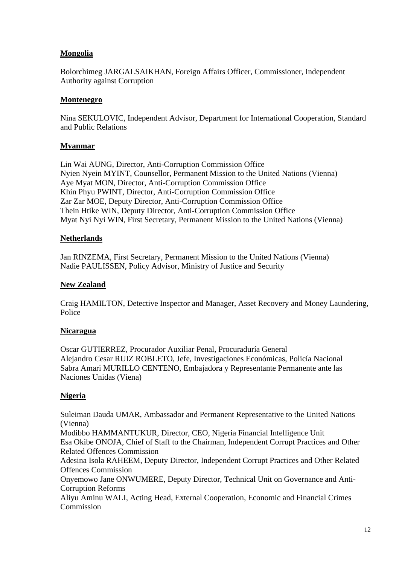## **Mongolia**

Bolorchimeg JARGALSAIKHAN, Foreign Affairs Officer, Commissioner, Independent Authority against Corruption

#### **Montenegro**

Nina SEKULOVIC, Independent Advisor, Department for International Cooperation, Standard and Public Relations

#### **Myanmar**

Lin Wai AUNG, Director, Anti-Corruption Commission Office Nyien Nyein MYINT, Counsellor, Permanent Mission to the United Nations (Vienna) Aye Myat MON, Director, Anti-Corruption Commission Office Khin Phyu PWINT, Director, Anti-Corruption Commission Office Zar Zar MOE, Deputy Director, Anti-Corruption Commission Office Thein Htike WIN, Deputy Director, Anti-Corruption Commission Office Myat Nyi Nyi WIN, First Secretary, Permanent Mission to the United Nations (Vienna)

#### **Netherlands**

Jan RINZEMA, First Secretary, Permanent Mission to the United Nations (Vienna) Nadie PAULISSEN, Policy Advisor, Ministry of Justice and Security

#### **New Zealand**

Craig HAMILTON, Detective Inspector and Manager, Asset Recovery and Money Laundering, Police

#### **Nicaragua**

Oscar GUTIERREZ, Procurador Auxiliar Penal, Procuraduría General Alejandro Cesar RUIZ ROBLETO, Jefe, Investigaciones Económicas, Policía Nacional Sabra Amari MURILLO CENTENO, Embajadora y Representante Permanente ante las Naciones Unidas (Viena)

#### **Nigeria**

Suleiman Dauda UMAR, Ambassador and Permanent Representative to the United Nations (Vienna)

Modibbo HAMMANTUKUR, Director, CEO, Nigeria Financial Intelligence Unit Esa Okibe ONOJA, Chief of Staff to the Chairman, Independent Corrupt Practices and Other Related Offences Commission

Adesina Isola RAHEEM, Deputy Director, Independent Corrupt Practices and Other Related Offences Commission

Onyemowo Jane ONWUMERE, Deputy Director, Technical Unit on Governance and Anti-Corruption Reforms

Aliyu Aminu WALI, Acting Head, External Cooperation, Economic and Financial Crimes **Commission**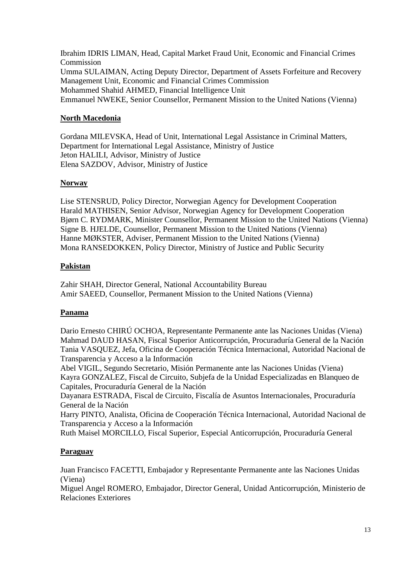Ibrahim IDRIS LIMAN, Head, Capital Market Fraud Unit, Economic and Financial Crimes Commission Umma SULAIMAN, Acting Deputy Director, Department of Assets Forfeiture and Recovery Management Unit, Economic and Financial Crimes Commission Mohammed Shahid AHMED, Financial Intelligence Unit Emmanuel NWEKE, Senior Counsellor, Permanent Mission to the United Nations (Vienna)

## **North Macedonia**

Gordana MILEVSKA, Head of Unit, International Legal Assistance in Criminal Matters, Department for International Legal Assistance, Ministry of Justice Jeton HALILI, Advisor, Ministry of Justice Elena SAZDOV, Advisor, Ministry of Justice

#### **Norway**

Lise STENSRUD, Policy Director, Norwegian Agency for Development Cooperation Harald MATHISEN, Senior Advisor, Norwegian Agency for Development Cooperation Bjørn C. RYDMARK, Minister Counsellor, Permanent Mission to the United Nations (Vienna) Signe B. HJELDE, Counsellor, Permanent Mission to the United Nations (Vienna) Hanne MØKSTER, Adviser, Permanent Mission to the United Nations (Vienna) Mona RANSEDOKKEN, Policy Director, Ministry of Justice and Public Security

#### **Pakistan**

Zahir SHAH, Director General, National Accountability Bureau Amir SAEED, Counsellor, Permanent Mission to the United Nations (Vienna)

#### **Panama**

Dario Ernesto CHIRÚ OCHOA, Representante Permanente ante las Naciones Unidas (Viena) Mahmad DAUD HASAN, Fiscal Superior Anticorrupción, Procuraduría General de la Nación Tania VASQUEZ, Jefa, Oficina de Cooperación Técnica Internacional, Autoridad Nacional de Transparencia y Acceso a la Información

Abel VIGIL, Segundo Secretario, Misión Permanente ante las Naciones Unidas (Viena) Kayra GONZALEZ, Fiscal de Circuito, Subjefa de la Unidad Especializadas en Blanqueo de Capitales, Procuraduría General de la Nación

Dayanara ESTRADA, Fiscal de Circuito, Fiscalía de Asuntos Internacionales, Procuraduría General de la Nación

Harry PINTO, Analista, Oficina de Cooperación Técnica Internacional, Autoridad Nacional de Transparencia y Acceso a la Información

Ruth Maisel MORCILLO, Fiscal Superior, Especial Anticorrupción, Procuraduría General

#### **Paraguay**

Juan Francisco FACETTI, Embajador y Representante Permanente ante las Naciones Unidas (Viena)

Miguel Angel ROMERO, Embajador, Director General, Unidad Anticorrupción, Ministerio de Relaciones Exteriores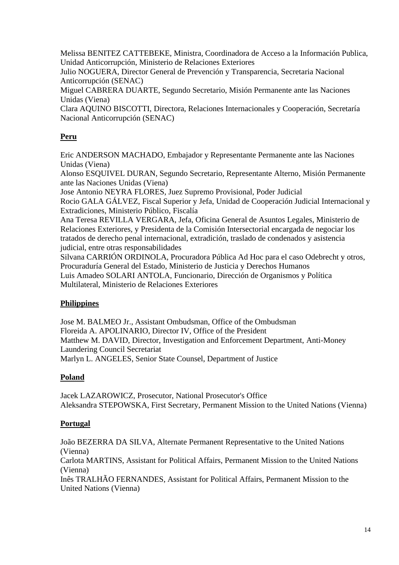Melissa BENITEZ CATTEBEKE, Ministra, Coordinadora de Acceso a la Información Publica, Unidad Anticorrupción, Ministerio de Relaciones Exteriores

Julio NOGUERA, Director General de Prevención y Transparencia, Secretaria Nacional Anticorrupción (SENAC)

Miguel CABRERA DUARTE, Segundo Secretario, Misión Permanente ante las Naciones Unidas (Viena)

Clara AQUINO BISCOTTI, Directora, Relaciones Internacionales y Cooperación, Secretaría Nacional Anticorrupción (SENAC)

## **Peru**

Eric ANDERSON MACHADO, Embajador y Representante Permanente ante las Naciones Unidas (Viena)

Alonso ESQUIVEL DURAN, Segundo Secretario, Representante Alterno, Misión Permanente ante las Naciones Unidas (Viena)

Jose Antonio NEYRA FLORES, Juez Supremo Provisional, Poder Judicial Rocio GALA GÁLVEZ, Fiscal Superior y Jefa, Unidad de Cooperación Judicial Internacional y Extradiciones, Ministerio Público, Fiscalía

Ana Teresa REVILLA VERGARA, Jefa, Oficina General de Asuntos Legales, Ministerio de Relaciones Exteriores, y Presidenta de la Comisión Intersectorial encargada de negociar los tratados de derecho penal internacional, extradición, traslado de condenados y asistencia judicial, entre otras responsabilidades

Silvana CARRIÓN ORDINOLA, Procuradora Pública Ad Hoc para el caso Odebrecht y otros, Procuraduría General del Estado, Ministerio de Justicia y Derechos Humanos Luis Amadeo SOLARI ANTOLA, Funcionario, Dirección de Organismos y Política Multilateral, Ministerio de Relaciones Exteriores

# **Philippines**

Jose M. BALMEO Jr., Assistant Ombudsman, Office of the Ombudsman Floreida A. APOLINARIO, Director IV, Office of the President Matthew M. DAVID, Director, Investigation and Enforcement Department, Anti-Money Laundering Council Secretariat Marlyn L. ANGELES, Senior State Counsel, Department of Justice

#### **Poland**

Jacek LAZAROWICZ, Prosecutor, National Prosecutor's Office Aleksandra STEPOWSKA, First Secretary, Permanent Mission to the United Nations (Vienna)

#### **Portugal**

João BEZERRA DA SILVA, Alternate Permanent Representative to the United Nations (Vienna)

Carlota MARTINS, Assistant for Political Affairs, Permanent Mission to the United Nations (Vienna)

Inês TRALHÃO FERNANDES, Assistant for Political Affairs, Permanent Mission to the United Nations (Vienna)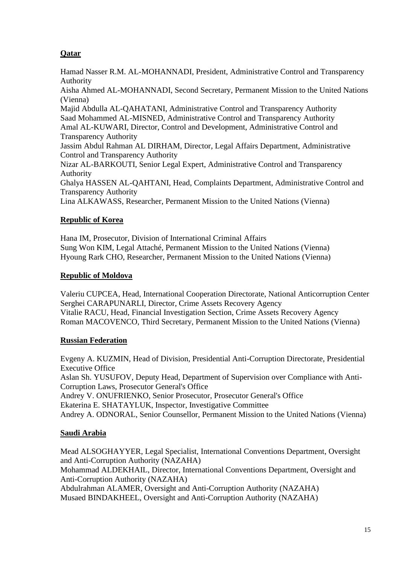# **Qatar**

Hamad Nasser R.M. AL-MOHANNADI, President, Administrative Control and Transparency Authority

Aisha Ahmed AL-MOHANNADI, Second Secretary, Permanent Mission to the United Nations (Vienna)

Majid Abdulla AL-QAHATANI, Administrative Control and Transparency Authority Saad Mohammed AL-MISNED, Administrative Control and Transparency Authority Amal AL-KUWARI, Director, Control and Development, Administrative Control and Transparency Authority

Jassim Abdul Rahman AL DIRHAM, Director, Legal Affairs Department, Administrative Control and Transparency Authority

Nizar AL-BARKOUTI, Senior Legal Expert, Administrative Control and Transparency Authority

Ghalya HASSEN AL-QAHTANI, Head, Complaints Department, Administrative Control and Transparency Authority

Lina ALKAWASS, Researcher, Permanent Mission to the United Nations (Vienna)

#### **Republic of Korea**

Hana IM, Prosecutor, Division of International Criminal Affairs Sung Won KIM, Legal Attaché, Permanent Mission to the United Nations (Vienna) Hyoung Rark CHO, Researcher, Permanent Mission to the United Nations (Vienna)

#### **Republic of Moldova**

Valeriu CUPCEA, Head, International Cooperation Directorate, National Anticorruption Center Serghei CARAPUNARLI, Director, Crime Assets Recovery Agency Vitalie RACU, Head, Financial Investigation Section, Crime Assets Recovery Agency Roman MACOVENCO, Third Secretary, Permanent Mission to the United Nations (Vienna)

#### **Russian Federation**

Evgeny A. KUZMIN, Head of Division, Presidential Anti-Corruption Directorate, Presidential Executive Office Aslan Sh. YUSUFOV, Deputy Head, Department of Supervision over Compliance with Anti-Corruption Laws, Prosecutor General's Office Andrey V. ONUFRIENKO, Senior Prosecutor, Prosecutor General's Office Ekaterina E. SHATAYLUK, Inspector, Investigative Committee Andrey A. ODNORAL, Senior Counsellor, Permanent Mission to the United Nations (Vienna)

#### **Saudi Arabia**

Mead ALSOGHAYYER, Legal Specialist, International Conventions Department, Oversight and Anti-Corruption Authority (NAZAHA) Mohammad ALDEKHAIL, Director, International Conventions Department, Oversight and Anti-Corruption Authority (NAZAHA) Abdulrahman ALAMER, Oversight and Anti-Corruption Authority (NAZAHA) Musaed BINDAKHEEL, Oversight and Anti-Corruption Authority (NAZAHA)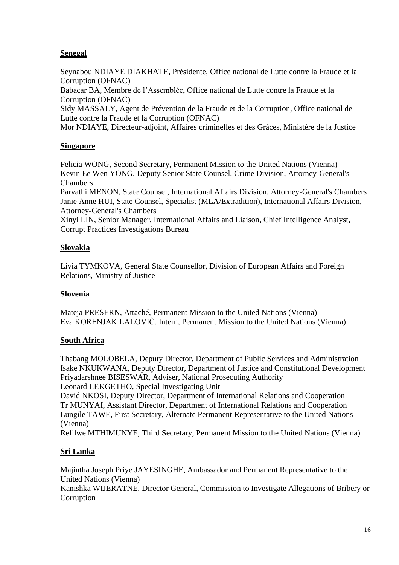## **Senegal**

Seynabou NDIAYE DIAKHATE, Présidente, Office national de Lutte contre la Fraude et la Corruption (OFNAC)

Babacar BA, Membre de l'Assemblée, Office national de Lutte contre la Fraude et la Corruption (OFNAC)

Sidy MASSALY, Agent de Prévention de la Fraude et de la Corruption, Office national de Lutte contre la Fraude et la Corruption (OFNAC)

Mor NDIAYE, Directeur-adjoint, Affaires criminelles et des Grâces, Ministère de la Justice

#### **Singapore**

Felicia WONG, Second Secretary, Permanent Mission to the United Nations (Vienna) Kevin Ee Wen YONG, Deputy Senior State Counsel, Crime Division, Attorney-General's Chambers

Parvathi MENON, State Counsel, International Affairs Division, Attorney-General's Chambers Janie Anne HUI, State Counsel, Specialist (MLA/Extradition), International Affairs Division, Attorney-General's Chambers

Xinyi LIN, Senior Manager, International Affairs and Liaison, Chief Intelligence Analyst, Corrupt Practices Investigations Bureau

#### **Slovakia**

Livia TYMKOVA, General State Counsellor, Division of European Affairs and Foreign Relations, Ministry of Justice

#### **Slovenia**

Mateja PRESERN, Attaché, Permanent Mission to the United Nations (Vienna) Eva KORENJAK LALOVIČ, Intern, Permanent Mission to the United Nations (Vienna)

#### **South Africa**

Thabang MOLOBELA, Deputy Director, Department of Public Services and Administration Isake NKUKWANA, Deputy Director, Department of Justice and Constitutional Development Priyadarshnee BISESWAR, Adviser, National Prosecuting Authority Leonard LEKGETHO, Special Investigating Unit

David NKOSI, Deputy Director, Department of International Relations and Cooperation Tr MUNYAI, Assistant Director, Department of International Relations and Cooperation Lungile TAWE, First Secretary, Alternate Permanent Representative to the United Nations (Vienna)

Refilwe MTHIMUNYE, Third Secretary, Permanent Mission to the United Nations (Vienna)

#### **Sri Lanka**

Majintha Joseph Priye JAYESINGHE, Ambassador and Permanent Representative to the United Nations (Vienna) Kanishka WIJERATNE, Director General, Commission to Investigate Allegations of Bribery or Corruption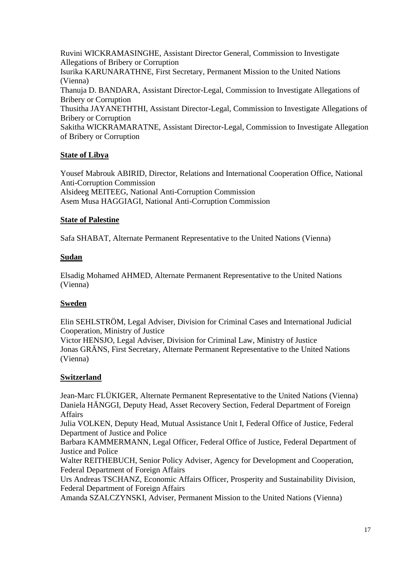Ruvini WICKRAMASINGHE, Assistant Director General, Commission to Investigate Allegations of Bribery or Corruption Isurika KARUNARATHNE, First Secretary, Permanent Mission to the United Nations (Vienna) Thanuja D. BANDARA, Assistant Director-Legal, Commission to Investigate Allegations of Bribery or Corruption Thusitha JAYANETHTHI, Assistant Director-Legal, Commission to Investigate Allegations of Bribery or Corruption Sakitha WICKRAMARATNE, Assistant Director-Legal, Commission to Investigate Allegation of Bribery or Corruption

## **State of Libya**

Yousef Mabrouk ABIRID, Director, Relations and International Cooperation Office, National Anti-Corruption Commission Alsideeg MEITEEG, National Anti-Corruption Commission Asem Musa HAGGIAGI, National Anti-Corruption Commission

#### **State of Palestine**

Safa SHABAT, Alternate Permanent Representative to the United Nations (Vienna)

#### **Sudan**

Elsadig Mohamed AHMED, Alternate Permanent Representative to the United Nations (Vienna)

#### **Sweden**

Elin SEHLSTRÖM, Legal Adviser, Division for Criminal Cases and International Judicial Cooperation, Ministry of Justice

Victor HENSJO, Legal Adviser, Division for Criminal Law, Ministry of Justice Jonas GRÄNS, First Secretary, Alternate Permanent Representative to the United Nations (Vienna)

#### **Switzerland**

Jean-Marc FLÜKIGER, Alternate Permanent Representative to the United Nations (Vienna) Daniela HÄNGGI, Deputy Head, Asset Recovery Section, Federal Department of Foreign Affairs

Julia VOLKEN, Deputy Head, Mutual Assistance Unit I, Federal Office of Justice, Federal Department of Justice and Police

Barbara KAMMERMANN, Legal Officer, Federal Office of Justice, Federal Department of Justice and Police

Walter REITHEBUCH, Senior Policy Adviser, Agency for Development and Cooperation, Federal Department of Foreign Affairs

Urs Andreas TSCHANZ, Economic Affairs Officer, Prosperity and Sustainability Division, Federal Department of Foreign Affairs

Amanda SZALCZYNSKI, Adviser, Permanent Mission to the United Nations (Vienna)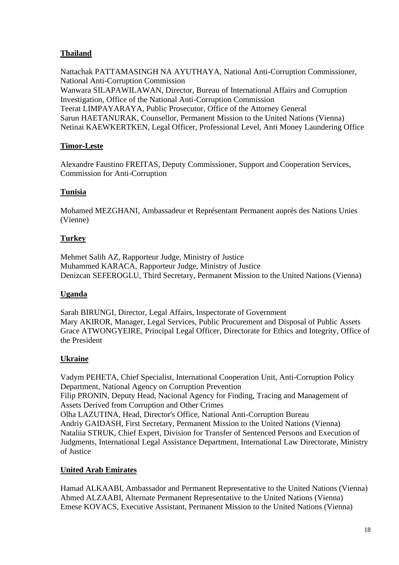# **Thailand**

Nattachak PATTAMASINGH NA AYUTHAYA, National Anti-Corruption Commissioner, National Anti-Corruption Commission Wanwara SILAPAWILAWAN, Director, Bureau of International Affairs and Corruption Investigation, Office of the National Anti-Corruption Commission Teerat LIMPAYARAYA, Public Prosecutor, Office of the Attorney General Sarun HAETANURAK, Counsellor, Permanent Mission to the United Nations (Vienna) Netinai KAEWKERTKEN, Legal Officer, Professional Level, Anti Money Laundering Office

# **Timor-Leste**

Alexandre Faustino FREITAS, Deputy Commissioner, Support and Cooperation Services, Commission for Anti-Corruption

# **Tunisia**

Mohamed MEZGHANI, Ambassadeur et Représentant Permanent auprès des Nations Unies (Vienne)

# **Turkey**

Mehmet Salih AZ, Rapporteur Judge, Ministry of Justice Muhammed KARACA, Rapporteur Judge, Ministry of Justice Denizcan SEFEROGLU, Third Secretary, Permanent Mission to the United Nations (Vienna)

#### **Uganda**

Sarah BIRUNGI, Director, Legal Affairs, Inspectorate of Government Mary AKIROR, Manager, Legal Services, Public Procurement and Disposal of Public Assets Grace ATWONGYEIRE, Principal Legal Officer, Directorate for Ethics and Integrity, Office of the President

# **Ukraine**

Vadym PEHETA, Chief Specialist, International Cooperation Unit, Anti-Corruption Policy Department, National Agency on Corruption Prevention Filip PRONIN, Deputy Head, Nacional Agency for Finding, Tracing and Management of Assets Derived from Corruption and Other Crimes Olha LAZUTINA, Head, Director's Office, National Anti-Corruption Bureau Andriy GAIDASH, First Secretary, Permanent Mission to the United Nations (Vienna) Nataliia STRUK, Chief Expert, Division for Transfer of Sentenced Persons and Execution of Judgments, International Legal Assistance Department, International Law Directorate, Ministry of Justice

# **United Arab Emirates**

Hamad ALKAABI, Ambassador and Permanent Representative to the United Nations (Vienna) Ahmed ALZAABI, Alternate Permanent Representative to the United Nations (Vienna) Emese KOVACS, Executive Assistant, Permanent Mission to the United Nations (Vienna)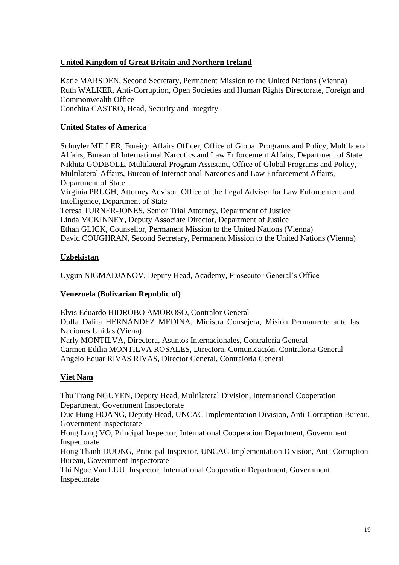## **United Kingdom of Great Britain and Northern Ireland**

Katie MARSDEN, Second Secretary, Permanent Mission to the United Nations (Vienna) Ruth WALKER, Anti-Corruption, Open Societies and Human Rights Directorate, Foreign and Commonwealth Office Conchita CASTRO, Head, Security and Integrity

#### **United States of America**

Schuyler MILLER, Foreign Affairs Officer, Office of Global Programs and Policy, Multilateral Affairs, Bureau of International Narcotics and Law Enforcement Affairs, Department of State Nikhita GODBOLE, Multilateral Program Assistant, Office of Global Programs and Policy, Multilateral Affairs, Bureau of International Narcotics and Law Enforcement Affairs, Department of State Virginia PRUGH, Attorney Advisor, Office of the Legal Adviser for Law Enforcement and

Intelligence, Department of State Teresa TURNER-JONES, Senior Trial Attorney, Department of Justice Linda MCKINNEY, Deputy Associate Director, Department of Justice Ethan GLICK, Counsellor, Permanent Mission to the United Nations (Vienna) David COUGHRAN, Second Secretary, Permanent Mission to the United Nations (Vienna)

## **Uzbekistan**

Uygun NIGMADJANOV, Deputy Head, Academy, Prosecutor General's Office

#### **Venezuela (Bolivarian Republic of)**

Elvis Eduardo HIDROBO AMOROSO, Contralor General Dulfa Dalila HERNÁNDEZ MEDINA, Ministra Consejera, Misión Permanente ante las Naciones Unidas (Viena) Narly MONTILVA, Directora, Asuntos Internacionales, Contraloría General Carmen Edilia MONTILVA ROSALES, Directora, Comunicación, Contraloria General Angelo Eduar RIVAS RIVAS, Director General, Contraloría General

# **Viet Nam**

Thu Trang NGUYEN, Deputy Head, Multilateral Division, International Cooperation Department, Government Inspectorate

Duc Hung HOANG, Deputy Head, UNCAC Implementation Division, Anti-Corruption Bureau, Government Inspectorate

Hong Long VO, Principal Inspector, International Cooperation Department, Government Inspectorate

Hong Thanh DUONG, Principal Inspector, UNCAC Implementation Division, Anti-Corruption Bureau, Government Inspectorate

Thi Ngoc Van LUU, Inspector, International Cooperation Department, Government Inspectorate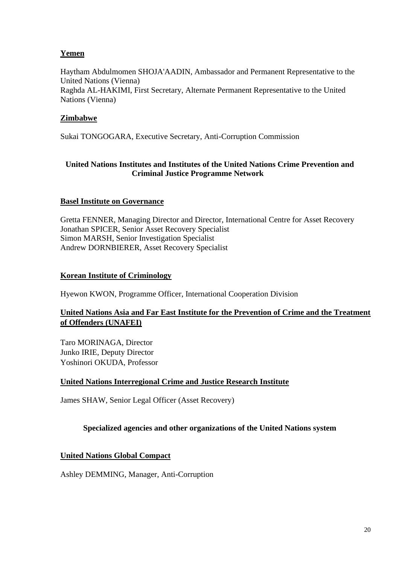# **Yemen**

Haytham Abdulmomen SHOJA'AADIN, Ambassador and Permanent Representative to the United Nations (Vienna) Raghda AL-HAKIMI, First Secretary, Alternate Permanent Representative to the United Nations (Vienna)

## **Zimbabwe**

Sukai TONGOGARA, Executive Secretary, Anti-Corruption Commission

#### **United Nations Institutes and Institutes of the United Nations Crime Prevention and Criminal Justice Programme Network**

#### **Basel Institute on Governance**

Gretta FENNER, Managing Director and Director, International Centre for Asset Recovery Jonathan SPICER, Senior Asset Recovery Specialist Simon MARSH, Senior Investigation Specialist Andrew DORNBIERER, Asset Recovery Specialist

#### **Korean Institute of Criminology**

Hyewon KWON, Programme Officer, International Cooperation Division

## **United Nations Asia and Far East Institute for the Prevention of Crime and the Treatment of Offenders (UNAFEI)**

Taro MORINAGA, Director Junko IRIE, Deputy Director Yoshinori OKUDA, Professor

#### **United Nations Interregional Crime and Justice Research Institute**

James SHAW, Senior Legal Officer (Asset Recovery)

#### **Specialized agencies and other organizations of the United Nations system**

#### **United Nations Global Compact**

Ashley DEMMING, Manager, Anti-Corruption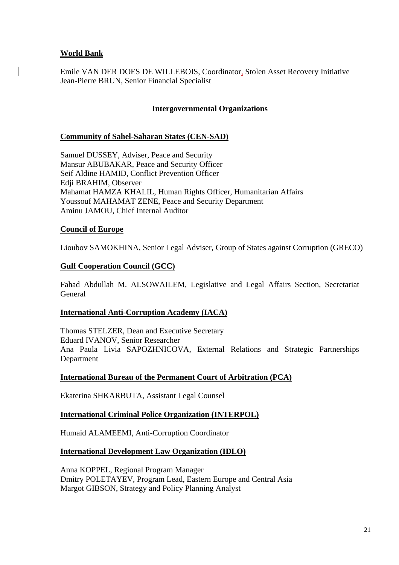#### **World Bank**

Emile VAN DER DOES DE WILLEBOIS, Coordinator, Stolen Asset Recovery Initiative Jean-Pierre BRUN, Senior Financial Specialist

#### **Intergovernmental Organizations**

#### **Community of Sahel-Saharan States (CEN-SAD)**

Samuel DUSSEY, Adviser, Peace and Security Mansur ABUBAKAR, Peace and Security Officer Seif Aldine HAMID, Conflict Prevention Officer Edji BRAHIM, Observer Mahamat HAMZA KHALIL, Human Rights Officer, Humanitarian Affairs Youssouf MAHAMAT ZENE, Peace and Security Department Aminu JAMOU, Chief Internal Auditor

#### **Council of Europe**

Lioubov SAMOKHINA, Senior Legal Adviser, Group of States against Corruption (GRECO)

#### **Gulf Cooperation Council (GCC)**

Fahad Abdullah M. ALSOWAILEM, Legislative and Legal Affairs Section, Secretariat General

#### **International Anti-Corruption Academy (IACA)**

Thomas STELZER, Dean and Executive Secretary Eduard IVANOV, Senior Researcher Ana Paula Livia SAPOZHNICOVA, External Relations and Strategic Partnerships Department

#### **International Bureau of the Permanent Court of Arbitration (PCA)**

Ekaterina SHKARBUTA, Assistant Legal Counsel

#### **International Criminal Police Organization (INTERPOL)**

Humaid ALAMEEMI, Anti-Corruption Coordinator

#### **International Development Law Organization (IDLO)**

Anna KOPPEL, Regional Program Manager Dmitry POLETAYEV, Program Lead, Eastern Europe and Central Asia Margot GIBSON, Strategy and Policy Planning Analyst